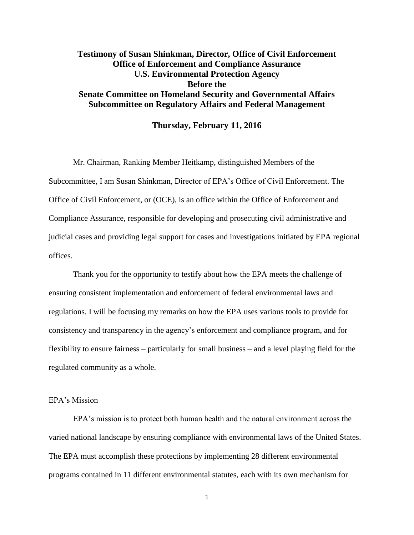# **Testimony of Susan Shinkman, Director, Office of Civil Enforcement Office of Enforcement and Compliance Assurance U.S. Environmental Protection Agency Before the Senate Committee on Homeland Security and Governmental Affairs Subcommittee on Regulatory Affairs and Federal Management**

### **Thursday, February 11, 2016**

Mr. Chairman, Ranking Member Heitkamp, distinguished Members of the Subcommittee, I am Susan Shinkman, Director of EPA's Office of Civil Enforcement. The Office of Civil Enforcement, or (OCE), is an office within the Office of Enforcement and Compliance Assurance, responsible for developing and prosecuting civil administrative and judicial cases and providing legal support for cases and investigations initiated by EPA regional offices.

Thank you for the opportunity to testify about how the EPA meets the challenge of ensuring consistent implementation and enforcement of federal environmental laws and regulations. I will be focusing my remarks on how the EPA uses various tools to provide for consistency and transparency in the agency's enforcement and compliance program, and for flexibility to ensure fairness – particularly for small business – and a level playing field for the regulated community as a whole.

### EPA's Mission

EPA's mission is to protect both human health and the natural environment across the varied national landscape by ensuring compliance with environmental laws of the United States. The EPA must accomplish these protections by implementing 28 different environmental programs contained in 11 different environmental statutes, each with its own mechanism for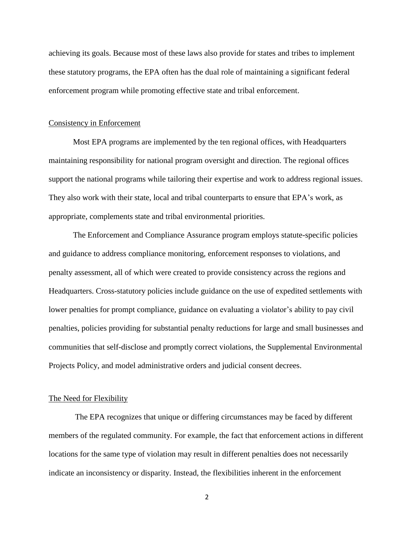achieving its goals. Because most of these laws also provide for states and tribes to implement these statutory programs, the EPA often has the dual role of maintaining a significant federal enforcement program while promoting effective state and tribal enforcement.

#### Consistency in Enforcement

Most EPA programs are implemented by the ten regional offices, with Headquarters maintaining responsibility for national program oversight and direction. The regional offices support the national programs while tailoring their expertise and work to address regional issues. They also work with their state, local and tribal counterparts to ensure that EPA's work, as appropriate, complements state and tribal environmental priorities.

The Enforcement and Compliance Assurance program employs statute-specific policies and guidance to address compliance monitoring, enforcement responses to violations, and penalty assessment, all of which were created to provide consistency across the regions and Headquarters. Cross-statutory policies include guidance on the use of expedited settlements with lower penalties for prompt compliance, guidance on evaluating a violator's ability to pay civil penalties, policies providing for substantial penalty reductions for large and small businesses and communities that self-disclose and promptly correct violations, the Supplemental Environmental Projects Policy, and model administrative orders and judicial consent decrees.

### The Need for Flexibility

The EPA recognizes that unique or differing circumstances may be faced by different members of the regulated community. For example, the fact that enforcement actions in different locations for the same type of violation may result in different penalties does not necessarily indicate an inconsistency or disparity. Instead, the flexibilities inherent in the enforcement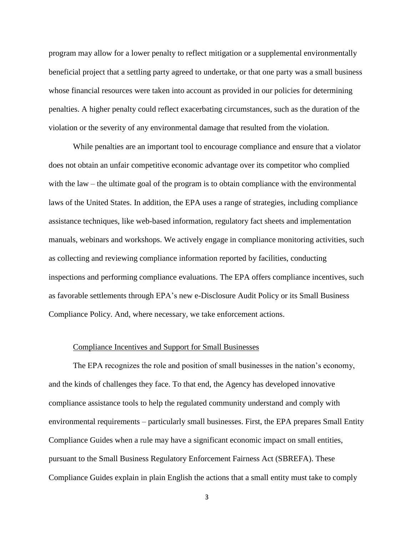program may allow for a lower penalty to reflect mitigation or a supplemental environmentally beneficial project that a settling party agreed to undertake, or that one party was a small business whose financial resources were taken into account as provided in our policies for determining penalties. A higher penalty could reflect exacerbating circumstances, such as the duration of the violation or the severity of any environmental damage that resulted from the violation.

While penalties are an important tool to encourage compliance and ensure that a violator does not obtain an unfair competitive economic advantage over its competitor who complied with the law – the ultimate goal of the program is to obtain compliance with the environmental laws of the United States. In addition, the EPA uses a range of strategies, including compliance assistance techniques, like web-based information, regulatory fact sheets and implementation manuals, webinars and workshops. We actively engage in compliance monitoring activities, such as collecting and reviewing compliance information reported by facilities, conducting inspections and performing compliance evaluations. The EPA offers compliance incentives, such as favorable settlements through EPA's new e-Disclosure Audit Policy or its Small Business Compliance Policy. And, where necessary, we take enforcement actions.

#### Compliance Incentives and Support for Small Businesses

The EPA recognizes the role and position of small businesses in the nation's economy, and the kinds of challenges they face. To that end, the Agency has developed innovative compliance assistance tools to help the regulated community understand and comply with environmental requirements – particularly small businesses. First, the EPA prepares Small Entity Compliance Guides when a rule may have a significant economic impact on small entities, pursuant to the Small Business Regulatory Enforcement Fairness Act (SBREFA). These Compliance Guides explain in plain English the actions that a small entity must take to comply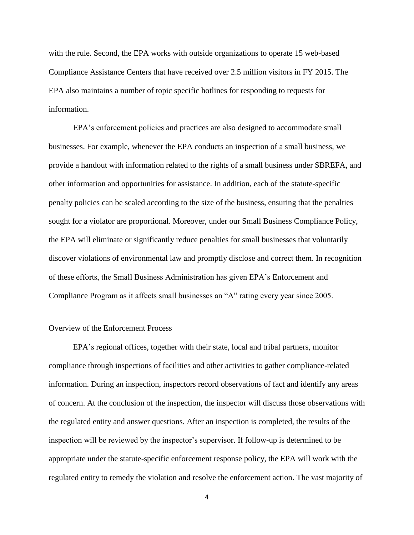with the rule. Second, the EPA works with outside organizations to operate 15 web-based Compliance Assistance Centers that have received over 2.5 million visitors in FY 2015. The EPA also maintains a number of topic specific hotlines for responding to requests for information.

EPA's enforcement policies and practices are also designed to accommodate small businesses. For example, whenever the EPA conducts an inspection of a small business, we provide a handout with information related to the rights of a small business under SBREFA, and other information and opportunities for assistance. In addition, each of the statute-specific penalty policies can be scaled according to the size of the business, ensuring that the penalties sought for a violator are proportional. Moreover, under our Small Business Compliance Policy, the EPA will eliminate or significantly reduce penalties for small businesses that voluntarily discover violations of environmental law and promptly disclose and correct them. In recognition of these efforts, the Small Business Administration has given EPA's Enforcement and Compliance Program as it affects small businesses an "A" rating every year since 2005.

# Overview of the Enforcement Process

EPA's regional offices, together with their state, local and tribal partners, monitor compliance through inspections of facilities and other activities to gather compliance-related information. During an inspection, inspectors record observations of fact and identify any areas of concern. At the conclusion of the inspection, the inspector will discuss those observations with the regulated entity and answer questions. After an inspection is completed, the results of the inspection will be reviewed by the inspector's supervisor. If follow-up is determined to be appropriate under the statute-specific enforcement response policy, the EPA will work with the regulated entity to remedy the violation and resolve the enforcement action. The vast majority of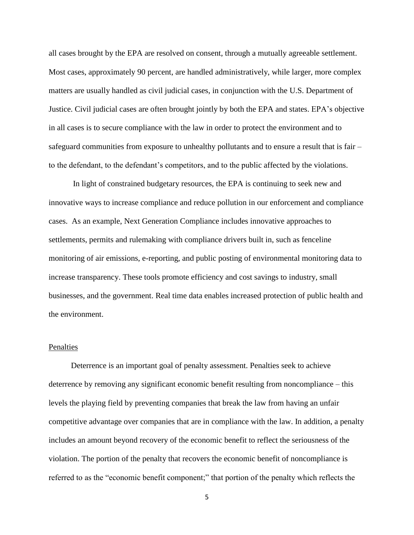all cases brought by the EPA are resolved on consent, through a mutually agreeable settlement. Most cases, approximately 90 percent, are handled administratively, while larger, more complex matters are usually handled as civil judicial cases, in conjunction with the U.S. Department of Justice. Civil judicial cases are often brought jointly by both the EPA and states. EPA's objective in all cases is to secure compliance with the law in order to protect the environment and to safeguard communities from exposure to unhealthy pollutants and to ensure a result that is fair – to the defendant, to the defendant's competitors, and to the public affected by the violations.

In light of constrained budgetary resources, the EPA is continuing to seek new and innovative ways to increase compliance and reduce pollution in our enforcement and compliance cases. As an example, Next Generation Compliance includes innovative approaches to settlements, permits and rulemaking with compliance drivers built in, such as fenceline monitoring of air emissions, e-reporting, and public posting of environmental monitoring data to increase transparency. These tools promote efficiency and cost savings to industry, small businesses, and the government. Real time data enables increased protection of public health and the environment.

# Penalties

 Deterrence is an important goal of penalty assessment. Penalties seek to achieve deterrence by removing any significant economic benefit resulting from noncompliance – this levels the playing field by preventing companies that break the law from having an unfair competitive advantage over companies that are in compliance with the law. In addition, a penalty includes an amount beyond recovery of the economic benefit to reflect the seriousness of the violation. The portion of the penalty that recovers the economic benefit of noncompliance is referred to as the "economic benefit component;" that portion of the penalty which reflects the